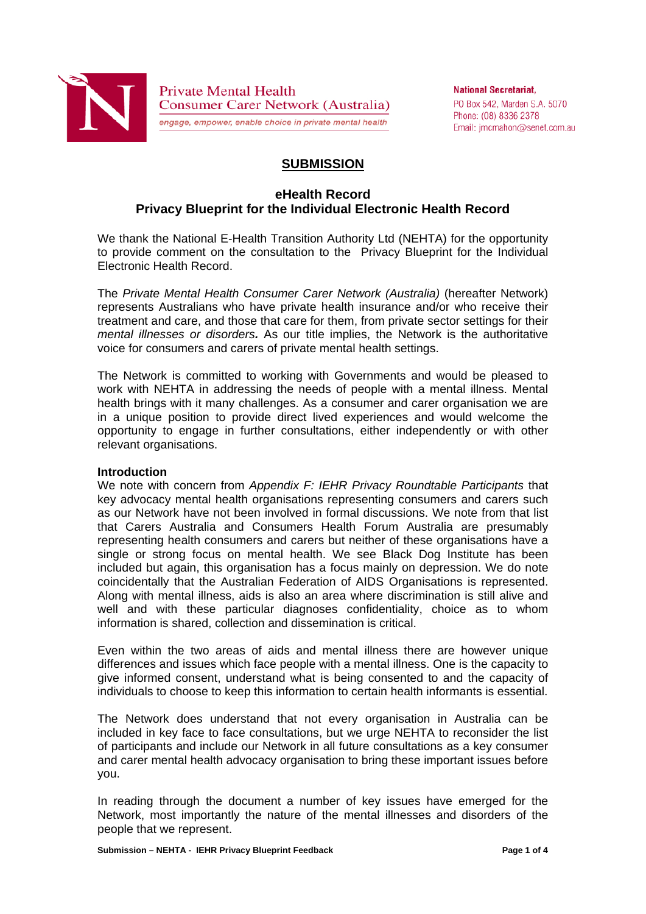

**Private Mental Health Consumer Carer Network (Australia)** engage, empower, enable choice in private mental health

**National Secretariat.** PO Box 542, Marden S.A. 5070 Phone: (08) 8336 2378 Email: imcmahon@senet.com.au

# **SUBMISSION**

## **eHealth Record Privacy Blueprint for the Individual Electronic Health Record**

We thank the National E-Health Transition Authority Ltd (NEHTA) for the opportunity to provide comment on the consultation to the Privacy Blueprint for the Individual Electronic Health Record.

The *Private Mental Health Consumer Carer Network (Australia)* (hereafter Network) represents Australians who have private health insurance and/or who receive their treatment and care, and those that care for them, from private sector settings for their *mental illnesses or disorders.* As our title implies, the Network is the authoritative voice for consumers and carers of private mental health settings.

The Network is committed to working with Governments and would be pleased to work with NEHTA in addressing the needs of people with a mental illness. Mental health brings with it many challenges. As a consumer and carer organisation we are in a unique position to provide direct lived experiences and would welcome the opportunity to engage in further consultations, either independently or with other relevant organisations.

### **Introduction**

We note with concern from *Appendix F: IEHR Privacy Roundtable Participants* that key advocacy mental health organisations representing consumers and carers such as our Network have not been involved in formal discussions. We note from that list that Carers Australia and Consumers Health Forum Australia are presumably representing health consumers and carers but neither of these organisations have a single or strong focus on mental health. We see Black Dog Institute has been included but again, this organisation has a focus mainly on depression. We do note coincidentally that the Australian Federation of AIDS Organisations is represented. Along with mental illness, aids is also an area where discrimination is still alive and well and with these particular diagnoses confidentiality, choice as to whom information is shared, collection and dissemination is critical.

Even within the two areas of aids and mental illness there are however unique differences and issues which face people with a mental illness. One is the capacity to give informed consent, understand what is being consented to and the capacity of individuals to choose to keep this information to certain health informants is essential.

The Network does understand that not every organisation in Australia can be included in key face to face consultations, but we urge NEHTA to reconsider the list of participants and include our Network in all future consultations as a key consumer and carer mental health advocacy organisation to bring these important issues before you.

In reading through the document a number of key issues have emerged for the Network, most importantly the nature of the mental illnesses and disorders of the people that we represent.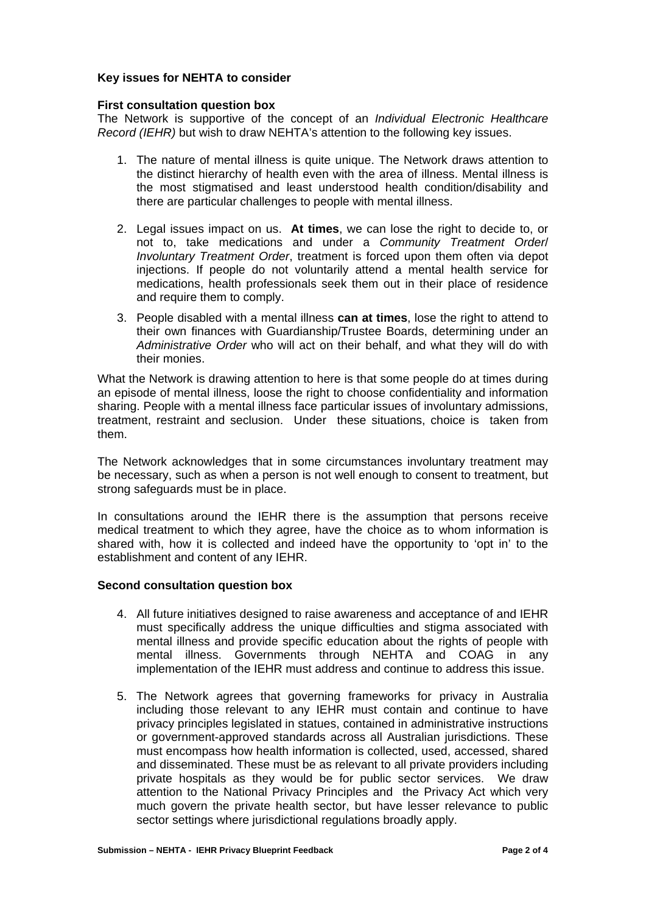### **Key issues for NEHTA to consider**

### **First consultation question box**

The Network is supportive of the concept of an *Individual Electronic Healthcare Record (IEHR)* but wish to draw NEHTA's attention to the following key issues.

- 1. The nature of mental illness is quite unique. The Network draws attention to the distinct hierarchy of health even with the area of illness. Mental illness is the most stigmatised and least understood health condition/disability and there are particular challenges to people with mental illness.
- 2. Legal issues impact on us. **At times**, we can lose the right to decide to, or not to, take medications and under a *Community Treatment Order*/ *Involuntary Treatment Order*, treatment is forced upon them often via depot injections. If people do not voluntarily attend a mental health service for medications, health professionals seek them out in their place of residence and require them to comply.
- 3. People disabled with a mental illness **can at times**, lose the right to attend to their own finances with Guardianship/Trustee Boards, determining under an *Administrative Order* who will act on their behalf, and what they will do with their monies.

What the Network is drawing attention to here is that some people do at times during an episode of mental illness, loose the right to choose confidentiality and information sharing. People with a mental illness face particular issues of involuntary admissions, treatment, restraint and seclusion. Under these situations, choice is taken from them.

The Network acknowledges that in some circumstances involuntary treatment may be necessary, such as when a person is not well enough to consent to treatment, but strong safeguards must be in place.

In consultations around the IEHR there is the assumption that persons receive medical treatment to which they agree, have the choice as to whom information is shared with, how it is collected and indeed have the opportunity to 'opt in' to the establishment and content of any IEHR.

### **Second consultation question box**

- 4. All future initiatives designed to raise awareness and acceptance of and IEHR must specifically address the unique difficulties and stigma associated with mental illness and provide specific education about the rights of people with mental illness. Governments through NEHTA and COAG in any implementation of the IEHR must address and continue to address this issue.
- 5. The Network agrees that governing frameworks for privacy in Australia including those relevant to any IEHR must contain and continue to have privacy principles legislated in statues, contained in administrative instructions or government-approved standards across all Australian jurisdictions. These must encompass how health information is collected, used, accessed, shared and disseminated. These must be as relevant to all private providers including private hospitals as they would be for public sector services. We draw attention to the National Privacy Principles and the Privacy Act which very much govern the private health sector, but have lesser relevance to public sector settings where jurisdictional regulations broadly apply.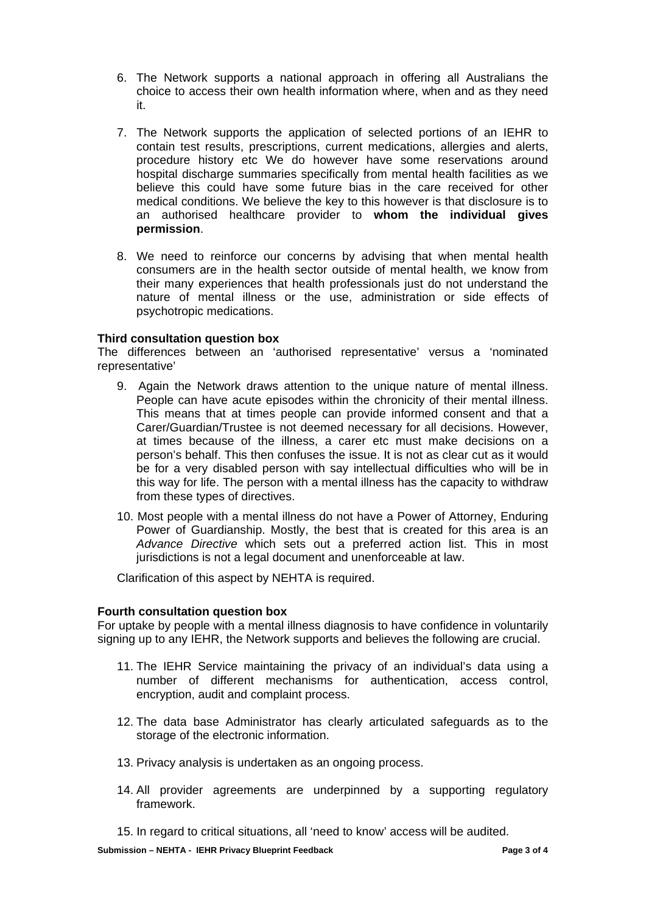- 6. The Network supports a national approach in offering all Australians the choice to access their own health information where, when and as they need it.
- 7. The Network supports the application of selected portions of an IEHR to contain test results, prescriptions, current medications, allergies and alerts, procedure history etc We do however have some reservations around hospital discharge summaries specifically from mental health facilities as we believe this could have some future bias in the care received for other medical conditions. We believe the key to this however is that disclosure is to an authorised healthcare provider to **whom the individual gives permission**.
- 8. We need to reinforce our concerns by advising that when mental health consumers are in the health sector outside of mental health, we know from their many experiences that health professionals just do not understand the nature of mental illness or the use, administration or side effects of psychotropic medications.

## **Third consultation question box**

The differences between an 'authorised representative' versus a 'nominated representative'

- 9. Again the Network draws attention to the unique nature of mental illness. People can have acute episodes within the chronicity of their mental illness. This means that at times people can provide informed consent and that a Carer/Guardian/Trustee is not deemed necessary for all decisions. However, at times because of the illness, a carer etc must make decisions on a person's behalf. This then confuses the issue. It is not as clear cut as it would be for a very disabled person with say intellectual difficulties who will be in this way for life. The person with a mental illness has the capacity to withdraw from these types of directives.
- 10. Most people with a mental illness do not have a Power of Attorney, Enduring Power of Guardianship. Mostly, the best that is created for this area is an *Advance Directive* which sets out a preferred action list. This in most iurisdictions is not a legal document and unenforceable at law.

Clarification of this aspect by NEHTA is required.

### **Fourth consultation question box**

For uptake by people with a mental illness diagnosis to have confidence in voluntarily signing up to any IEHR, the Network supports and believes the following are crucial.

- 11. The IEHR Service maintaining the privacy of an individual's data using a number of different mechanisms for authentication, access control, encryption, audit and complaint process.
- 12. The data base Administrator has clearly articulated safeguards as to the storage of the electronic information.
- 13. Privacy analysis is undertaken as an ongoing process.
- 14. All provider agreements are underpinned by a supporting regulatory framework.
- 15. In regard to critical situations, all 'need to know' access will be audited.